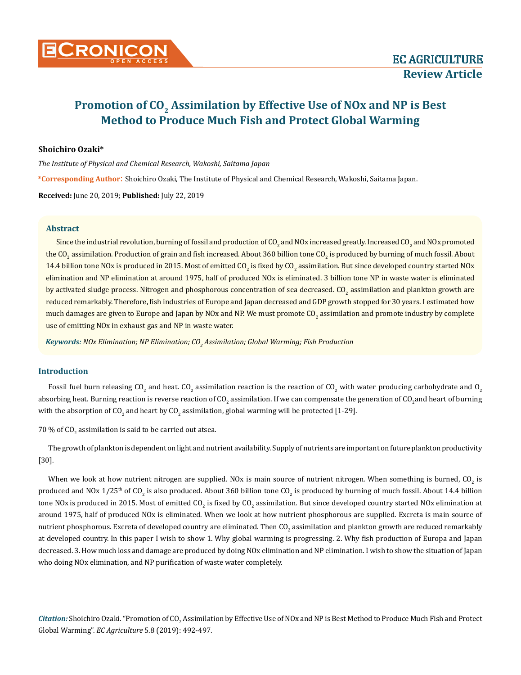

# Promotion of CO<sub>2</sub> Assimilation by Effective Use of NO<sub>x</sub> and NP is Best **Method to Produce Much Fish and Protect Global Warming**

# **Shoichiro Ozaki\***

*The Institute of Physical and Chemical Research, Wakoshi, Saitama Japan*

**\*Corresponding Author**: Shoichiro Ozaki, The Institute of Physical and Chemical Research, Wakoshi, Saitama Japan.

**Received:** June 20, 2019; **Published:** July 22, 2019

### **Abstract**

Since the industrial revolution, burning of fossil and production of CO<sub>2</sub> and NOx increased greatly. Increased CO<sub>2</sub> and NOx promoted the CO<sub>2</sub> assimilation. Production of grain and fish increased. About 360 billion tone CO<sub>2</sub> is produced by burning of much fossil. About 14.4 billion tone NOx is produced in 2015. Most of emitted CO<sub>2</sub> is fixed by CO<sub>2</sub> assimilation. But since developed country started NOx elimination and NP elimination at around 1975, half of produced NOx is eliminated. 3 billion tone NP in waste water is eliminated by activated sludge process. Nitrogen and phosphorous concentration of sea decreased. CO<sub>2</sub> assimilation and plankton growth are reduced remarkably. Therefore, fish industries of Europe and Japan decreased and GDP growth stopped for 30 years. I estimated how much damages are given to Europe and Japan by NOx and NP. We must promote CO<sub>2</sub> assimilation and promote industry by complete use of emitting NOx in exhaust gas and NP in waste water.

 $\kappa$ eywords: NOx Elimination; NP Elimination; CO<sub>2</sub> Assimilation; Global Warming; Fish Production

# **Introduction**

Fossil fuel burn releasing CO<sub>2</sub> and heat. CO<sub>2</sub> assimilation reaction is the reaction of CO<sub>2</sub> with water producing carbohydrate and O<sub>2</sub> absorbing heat. Burning reaction is reverse reaction of CO<sub>2</sub> assimilation. If we can compensate the generation of CO<sub>2</sub> and heart of burning with the absorption of CO<sub>2</sub> and heart by CO<sub>2</sub> assimilation, global warming will be protected [1-29].

 $70$  % of CO $_{\rm 2}$  assimilation is said to be carried out atsea.

The growth of plankton is dependent on light and nutrient availability. Supply of nutrients are important on future plankton productivity [30].

When we look at how nutrient nitrogen are supplied. NOx is main source of nutrient nitrogen. When something is burned, CO<sub>2</sub> is produced and NOx 1/25<sup>th</sup> of CO<sub>2</sub> is also produced. About 360 billion tone CO<sub>2</sub> is produced by burning of much fossil. About 14.4 billion tone NOx is produced in 2015. Most of emitted CO<sub>2</sub> is fixed by CO<sub>2</sub> assimilation. But since developed country started NOx elimination at around 1975, half of produced NOx is eliminated. When we look at how nutrient phosphorous are supplied. Excreta is main source of nutrient phosphorous. Excreta of developed country are eliminated. Then CO<sub>2</sub> assimilation and plankton growth are reduced remarkably at developed country. In this paper I wish to show 1. Why global warming is progressing. 2. Why fish production of Europa and Japan decreased. 3. How much loss and damage are produced by doing NOx elimination and NP elimination. I wish to show the situation of Japan who doing NOx elimination, and NP purification of waste water completely.

*Citation: Shoichiro Ozaki. "Promotion of CO<sub>2</sub> Assimilation by Effective Use of NOx and NP is Best Method to Produce Much Fish and Protect* Global Warming". *EC Agriculture* 5.8 (2019): 492-497.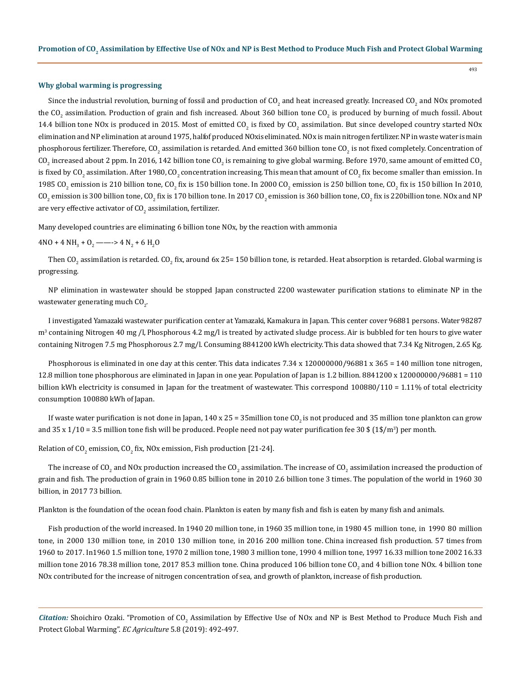#### **Why global warming is progressing**

Since the industrial revolution, burning of fossil and production of CO<sub>2</sub> and heat increased greatly. Increased CO<sub>2</sub> and NOx promoted the CO<sub>2</sub> assimilation. Production of grain and fish increased. About 360 billion tone CO<sub>2</sub> is produced by burning of much fossil. About 14.4 billion tone NOx is produced in 2015. Most of emitted CO<sub>2</sub> is fixed by CO<sub>2</sub> assimilation. But since developed country started NOx elimination and NP elimination at around 1975, halfof produced NOxis eliminated. NOx is main nitrogen fertilizer. NP in waste water is main phosphorous fertilizer. Therefore, CO<sub>2</sub> assimilation is retarded. And emitted 360 billion tone CO<sub>2</sub> is not fixed completely. Concentration of CO<sub>2</sub> increased about 2 ppm. In 2016, 142 billion tone CO<sub>2</sub> is remaining to give global warming. Before 1970, same amount of emitted CO<sub>2</sub> is fixed by CO<sub>2</sub> assimilation. After 1980, CO<sub>2</sub> concentration increasing. This mean that amount of CO<sub>2</sub> fix become smaller than emission. In 1985 CO<sub>2</sub> emission is 210 billion tone, CO<sub>2</sub> fix is 150 billion tone. In 2000 CO<sub>2</sub> emission is 250 billion tone, CO<sub>2</sub> fix is 150 billion In 2010, CO $_2$  emission is 300 billion tone, CO $_2$  fix is 170 billion tone. In 2017 CO $_2$  emission is 360 billion tone, CO $_2$  fix is 220billion tone. NOx and NP are very effective activator of CO $_2$  assimilation, fertilizer.

Many developed countries are eliminating 6 billion tone NOx, by the reaction with ammonia

# $4\text{NO} + 4\text{NH}_3 + \text{O}_2 \longrightarrow 4\text{ N}_2 + 6\text{ H}_2\text{O}$

Then CO<sub>2</sub> assimilation is retarded. CO<sub>2</sub> fix, around 6x 25= 150 billion tone, is retarded. Heat absorption is retarded. Global warming is progressing.

NP elimination in wastewater should be stopped Japan constructed 2200 wastewater purification stations to eliminate NP in the wastewater generating much CO<sub>2</sub>.

I investigated Yamazaki wastewater purification center at Yamazaki, Kamakura in Japan. This center cover 96881 persons. Water 98287 m<sup>3</sup> containing Nitrogen 40 mg /l, Phosphorous 4.2 mg/l is treated by activated sludge process. Air is bubbled for ten hours to give water containing Nitrogen 7.5 mg Phosphorous 2.7 mg/l. Consuming 8841200 kWh electricity. This data showed that 7.34 Kg Nitrogen, 2.65 Kg.

Phosphorous is eliminated in one day at this center. This data indicates 7.34 x 120000000/96881 x 365 = 140 million tone nitrogen, 12.8 million tone phosphorous are eliminated in Japan in one year. Population of Japan is 1.2 billion. 8841200 x 120000000/96881 = 110 billion kWh electricity is consumed in Japan for the treatment of wastewater. This correspond 100880/110 = 1.11% of total electricity consumption 100880 kWh of Japan.

If waste water purification is not done in Japan,  $140 \times 25 = 35$  million tone CO<sub>2</sub> is not produced and 35 million tone plankton can grow and  $35$  x  $1/10$  =  $3.5$  million tone fish will be produced. People need not pay water purification fee  $30\$  ( $1\$ /m $^3$ ) per month.

Relation of CO<sub>2</sub> emission, CO<sub>2</sub> fix, NOx emission, Fish production [21-24].

The increase of CO<sub>2</sub> and NOx production increased the CO<sub>2</sub> assimilation. The increase of CO<sub>2</sub> assimilation increased the production of grain and fish. The production of grain in 1960 0.85 billion tone in 2010 2.6 billion tone 3 times. The population of the world in 1960 30 billion, in 2017 73 billion.

Plankton is the foundation of the ocean food chain. Plankton is eaten by many fish and fish is eaten by many fish and animals.

Fish production of the world increased. In 1940 20 million tone, in 1960 35 million tone, in 1980 45 million tone, in 1990 80 million tone, in 2000 130 million tone, in 2010 130 million tone, in 2016 200 million tone. China increased fish production. 57 times from 1960 to 2017. In1960 1.5 million tone, 1970 2 million tone, 1980 3 million tone, 1990 4 million tone, 1997 16.33 million tone 2002 16.33 million tone 2016 78.38 million tone, 2017 85.3 million tone. China produced 106 billion tone CO<sub>2</sub> and 4 billion tone NOx. 4 billion tone NOx contributed for the increase of nitrogen concentration of sea, and growth of plankton, increase of fish production.

Citation: Shoichiro Ozaki. "Promotion of CO<sub>2</sub> Assimilation by Effective Use of NOx and NP is Best Method to Produce Much Fish and Protect Global Warming". *EC Agriculture* 5.8 (2019): 492-497.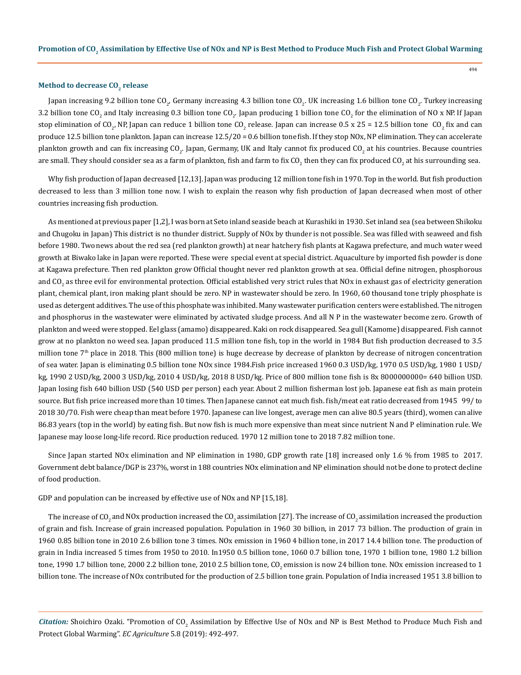#### **Method to decrease CO<sub>2</sub> release**

Japan increasing 9.2 billion tone CO<sub>2</sub>, Germany increasing 4.3 billion tone CO<sub>2</sub>. UK increasing 1.6 billion tone CO<sub>2</sub>. Turkey increasing 3.2 billion tone CO<sub>2</sub> and Italy increasing 0.3 billion tone CO<sub>2</sub>. Japan producing 1 billion tone CO<sub>2</sub> for the elimination of NO x NP. If Japan stop elimination of CO<sub>2</sub>, NP, Japan can reduce 1 billion tone CO<sub>2</sub> release. Japan can increase 0.5 x 25 = 12.5 billion tone CO<sub>2</sub> fix and can produce 12.5 billion tone plankton. Japan can increase 12.5/20 = 0.6 billion tone fish. If they stop NOx, NP elimination. They can accelerate plankton growth and can fix increasing CO<sub>2</sub>. Japan, Germany, UK and Italy cannot fix produced CO<sub>2</sub> at his countries. Because countries are small. They should consider sea as a farm of plankton, fish and farm to fix CO<sub>2</sub> then they can fix produced CO<sub>2</sub> at his surrounding sea.

Why fish production of Japan decreased [12,13]. Japan was producing 12 million tone fish in 1970. Top in the world. But fish production decreased to less than 3 million tone now. I wish to explain the reason why fish production of Japan decreased when most of other countries increasing fish production.

As mentioned at previous paper [1,2], I was born at Seto inland seaside beach at Kurashiki in 1930. Set inland sea (sea between Shikoku and Chugoku in Japan) This district is no thunder district. Supply of NOx by thunder is not possible. Sea was filled with seaweed and fish before 1980. Two news about the red sea (red plankton growth) at near hatchery fish plants at Kagawa prefecture, and much water weed growth at Biwako lake in Japan were reported. These were special event at special district. Aquaculture by imported fish powder is done at Kagawa prefecture. Then red plankton grow Official thought never red plankton growth at sea. Official define nitrogen, phosphorous and CO<sub>2</sub> as three evil for environmental protection. Official established very strict rules that NOx in exhaust gas of electricity generation plant, chemical plant, iron making plant should be zero. NP in wastewater should be zero. In 1960, 60 thousand tone triply phosphate is used as detergent additives. The use of this phosphate was inhibited. Many wastewater purification centers were established. The nitrogen and phosphorus in the wastewater were eliminated by activated sludge process. And all N P in the wastewater become zero. Growth of plankton and weed were stopped. Eel glass (amamo) disappeared. Kaki on rock disappeared. Sea gull (Kamome) disappeared. Fish cannot grow at no plankton no weed sea. Japan produced 11.5 million tone fish, top in the world in 1984 But fish production decreased to 3.5 million tone  $7<sup>th</sup>$  place in 2018. This (800 million tone) is huge decrease by decrease of plankton by decrease of nitrogen concentration of sea water. Japan is eliminating 0.5 billion tone NOx since 1984.Fish price increased 1960 0.3 USD/kg, 1970 0.5 USD/kg, 1980 1 USD/ kg, 1990 2 USD/kg, 2000 3 USD/kg, 2010 4 USD/kg, 2018 8 USD/kg. Price of 800 million tone fish is 8x 8000000000= 640 billion USD. Japan losing fish 640 billion USD (540 USD per person) each year. About 2 million fisherman lost job. Japanese eat fish as main protein source. But fish price increased more than 10 times. Then Japanese cannot eat much fish. fish/meat eat ratio decreased from 1945 99/ to 2018 30/70. Fish were cheap than meat before 1970. Japanese can live longest, average men can alive 80.5 years (third), women can alive 86.83 years (top in the world) by eating fish. But now fish is much more expensive than meat since nutrient N and P elimination rule. We Japanese may loose long-life record. Rice production reduced. 1970 12 million tone to 2018 7.82 million tone.

Since Japan started NOx elimination and NP elimination in 1980, GDP growth rate [18] increased only 1.6 % from 1985 to 2017. Government debt balance/DGP is 237%, worst in 188 countries NOx elimination and NP elimination should not be done to protect decline of food production.

GDP and population can be increased by effective use of NOx and NP [15,18].

The increase of CO<sub>2</sub> and NO<sub>x</sub> production increased the CO<sub>2</sub> assimilation [27]. The increase of CO<sub>2</sub> assimilation increased the production of grain and fish. Increase of grain increased population. Population in 1960 30 billion, in 2017 73 billion. The production of grain in 1960 0.85 billion tone in 2010 2.6 billion tone 3 times. NOx emission in 1960 4 billion tone, in 2017 14.4 billion tone. The production of grain in India increased 5 times from 1950 to 2010. In1950 0.5 billion tone, 1060 0.7 billion tone, 1970 1 billion tone, 1980 1.2 billion tone, 1990 1.7 billion tone, 2000 2.2 billion tone, 2010 2.5 billion tone,  $CO<sub>2</sub>$  emission is now 24 billion tone. NOx emission increased to 1 billion tone. The increase of NOx contributed for the production of 2.5 billion tone grain. Population of India increased 1951 3.8 billion to

Citation: Shoichiro Ozaki. "Promotion of CO<sub>2</sub> Assimilation by Effective Use of NOx and NP is Best Method to Produce Much Fish and Protect Global Warming". *EC Agriculture* 5.8 (2019): 492-497.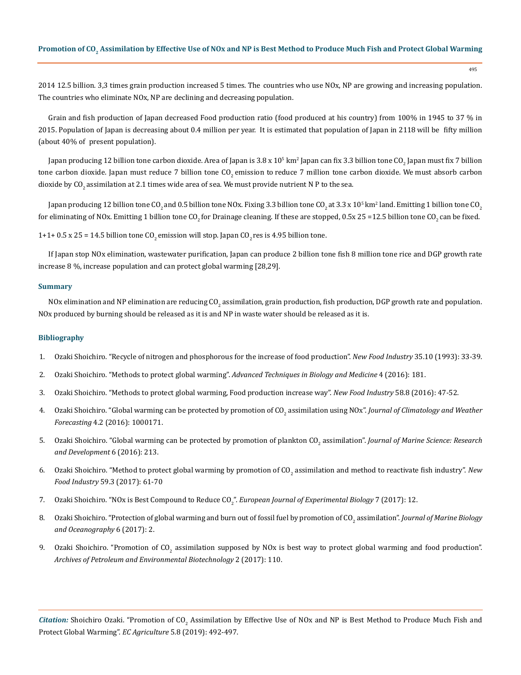2014 12.5 billion. 3,3 times grain production increased 5 times. The countries who use NOx, NP are growing and increasing population. The countries who eliminate NOx, NP are declining and decreasing population.

Grain and fish production of Japan decreased Food production ratio (food produced at his country) from 100% in 1945 to 37 % in 2015. Population of Japan is decreasing about 0.4 million per year. It is estimated that population of Japan in 2118 will be fifty million (about 40% of present population).

Japan producing 12 billion tone carbon dioxide. Area of Japan is 3.8 x 10<sup>5</sup> km² Japan can fix 3.3 billion tone CO<sub>2</sub> Japan must fix 7 billion tone carbon dioxide. Japan must reduce 7 billion tone  $CO<sub>2</sub>$  emission to reduce 7 million tone carbon dioxide. We must absorb carbon dioxide by  $CO<sub>2</sub>$  assimilation at 2.1 times wide area of sea. We must provide nutrient N P to the sea.

Japan producing 12 billion tone CO<sub>2</sub> and 0.5 billion tone NOx. Fixing 3.3 billion tone CO<sub>2</sub> at 3.3 x 10<sup>5</sup> km² land. Emitting 1 billion tone CO<sub>2</sub> for eliminating of NOx. Emitting 1 billion tone CO<sub>2</sub> for Drainage cleaning. If these are stopped, 0.5x 25 =12.5 billion tone CO<sub>2</sub> can be fixed.

1+1+ 0.5 x 25 = 14.5 billion tone  $CO<sub>2</sub>$  emission will stop. Japan  $CO<sub>2</sub>$  res is 4.95 billion tone.

If Japan stop NOx elimination, wastewater purification, Japan can produce 2 billion tone fish 8 million tone rice and DGP growth rate increase 8 %, increase population and can protect global warming [28,29].

#### **Summary**

NOx elimination and NP elimination are reducing CO<sub>2</sub> assimilation, grain production, fish production, DGP growth rate and population. NOx produced by burning should be released as it is and NP in waste water should be released as it is.

# **Bibliography**

- 1. Ozaki Shoichiro. "Recycle of nitrogen and phosphorous for the increase of food production". *New Food Industry* 35.10 (1993): 33-39.
- 2. Ozaki Shoichiro. "Methods to protect global warming". *[Advanced Techniques in Biology and Medicine](https://www.longdom.org/open-access/methods-to-protect-global-warming-2379-1764-1000181.pdf)* 4 (2016): 181.
- 3. Ozaki Shoichiro. "Methods to protect global warming, Food production increase way". *New Food Industry* 58.8 (2016): 47-52.
- 4. Ozaki Shoichiro. "Global warming can be protected by promotion of CO<sub>2</sub> assimilation using NOx". *Journal of Climatology and Weather Forecasting* [4.2 \(2016\): 1000171.](https://www.longdom.org/open-access/global-warming-can-be-protected-by-promotion-of-co2-assimilationusing-nox-2332-2594-1000171.pdf)
- 5. Ozaki Shoichiro. "Global warming can be protected by promotion of plankton CO<sub>2</sub> assimilation". *Journal of Marine Science: Research [and Development](https://www.omicsonline.org/open-access/global-warming-can-be-protected-by-promotion-of-plankton-co2assimilation-2155-9910-1000213.php?aid=82195)* 6 (2016): 213.
- 6. Ozaki Shoichiro. "Method to protect global warming by promotion of CO<sub>2</sub> assimilation and method to reactivate fish industry". New *Food Industry* 59.3 (2017): 61-70
- 7. Ozaki Shoichiro. "NOx is Best Compound to Reduce CO<sub>2</sub>". *European Journal of Experimental Biology 7 (2017): 12.*
- 8. Ozaki Shoichiro. "Protection of global warming and burn out of fossil fuel by promotion of CO<sub>2</sub> assimilation". *Journal of Marine Biology [and Oceanography](https://www.scitechnol.com/peer-review/protection-of-global-warming-and-burn-out-of-fossil-fuel-by-promotion-of-co2-assimilation-AJVn.php?article_id=6454)* 6 (2017): 2.
- 9. Ozaki Shoichiro. "Promotion of CO<sub>2</sub> [assimilation supposed by NOx is best way to protect global warming and food production".](https://www.gavinpublishers.com/articles/Review-Article/Archives-of-Petroleum-Environmental-Biotechnology-ISSN-2574-7614/promotion-of-co2-assimilation-supposed-by-NOx-is-best-way-to-protect-global-warming-and-food-product) *[Archives of Petroleum and Environmental Biotechnology](https://www.gavinpublishers.com/articles/Review-Article/Archives-of-Petroleum-Environmental-Biotechnology-ISSN-2574-7614/promotion-of-co2-assimilation-supposed-by-NOx-is-best-way-to-protect-global-warming-and-food-product)* 2 (2017): 110.

Citation: Shoichiro Ozaki. "Promotion of CO<sub>2</sub> Assimilation by Effective Use of NOx and NP is Best Method to Produce Much Fish and Protect Global Warming". *EC Agriculture* 5.8 (2019): 492-497.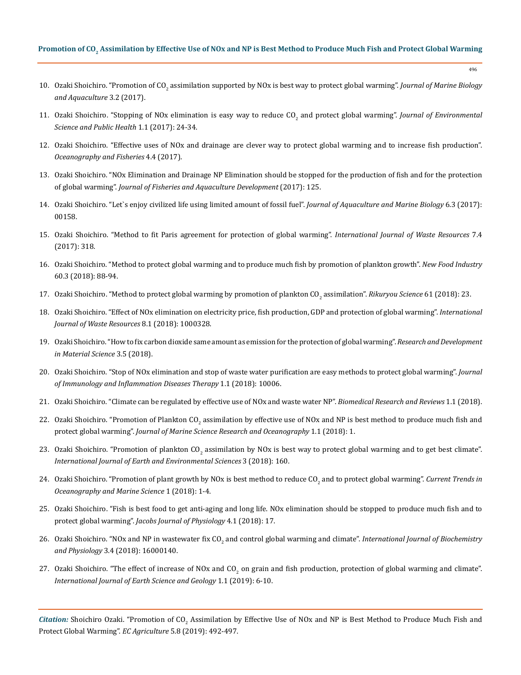## Promotion of CO<sub>2</sub> Assimilation by Effective Use of NOx and NP is Best Method to Produce Much Fish and Protect Global Warming

496

- 10. Ozaki Shoichiro. "Promotion of CO<sub>2</sub> [assimilation supported by NOx is best way to protect global warming".](https://www.researchgate.net/publication/329122322_Promotion_of_CO2_Assimilation_Supposed_by_NOx_is_Best_Way_to_Protect_Global_Warming) *Journal of Marine Biology [and Aquaculture](https://www.researchgate.net/publication/329122322_Promotion_of_CO2_Assimilation_Supposed_by_NOx_is_Best_Way_to_Protect_Global_Warming)* 3.2 (2017).
- 11. Ozaki Shoichiro. "Stopping of NOx elimination is easy way to reduce CO<sub>2</sub> and protect global warming". *Journal of Environmental [Science and Public Health](http://www.fortunejournals.com/articles/stopping-of-nox-elimination-is-easy-way-to-reduce-co2-and-protect-global-warming.pdf)* 1.1 (2017): 24-34.
- 12. [Ozaki Shoichiro. "Effective uses of NOx and drainage are clever way to protect global warming and to increase fish production".](https://juniperpublishers.com/ofoaj/pdf/OFOAJ.MS.ID.555643.pdf) *[Oceanography and Fisheries](https://juniperpublishers.com/ofoaj/pdf/OFOAJ.MS.ID.555643.pdf)* 4.4 (2017).
- 13. [Ozaki Shoichiro. "NOx Elimination and Drainage NP Elimination should be stopped for the production of fish and for the protection](https://www.gavinpublishers.com/articles/Review-Article/Journal-of-Fisheries-and-Aquaculture-Development-ISSN-2577-1493/NOx-Elimination-and-Drainage-NP-Elimination-Should-Be-Stopped-for-The-Production-of-Fish-and-for-The) of global warming". *[Journal of Fisheries and Aquaculture Development](https://www.gavinpublishers.com/articles/Review-Article/Journal-of-Fisheries-and-Aquaculture-Development-ISSN-2577-1493/NOx-Elimination-and-Drainage-NP-Elimination-Should-Be-Stopped-for-The-Production-of-Fish-and-for-The)* (2017): 125.
- 14. [Ozaki Shoichiro. "Let`s enjoy civilized life using limited amount of fossil fuel".](https://medcraveonline.com/JAMB/JAMB-06-00158.php) *Journal of Aquaculture and Marine Biology* 6.3 (2017): [00158.](https://medcraveonline.com/JAMB/JAMB-06-00158.php)
- 15. [Ozaki Shoichiro. "Method to fit Paris agreement for protection of global warming".](https://www.longdom.org/open-access/method-to-fit-paris-agreement-for-protection-of-global-warming-2252-5211-1000318.pdf) *International Journal of Waste Resources* 7.4 [\(2017\): 318.](https://www.longdom.org/open-access/method-to-fit-paris-agreement-for-protection-of-global-warming-2252-5211-1000318.pdf)
- 16. Ozaki Shoichiro. "Method to protect global warming and to produce much fish by promotion of plankton growth". *New Food Industry* 60.3 (2018): 88-94.
- 17. Ozaki Shoichiro. "Method to protect global warming by promotion of plankton CO<sub>2</sub> assimilation". *Rikuryou Science* 61 (2018): 23.
- 18. [Ozaki Shoichiro. "Effect of NOx elimination on electricity price, fish production, GDP and protection of global warming".](https://www.longdom.org/open-access/effect-of-nox-elimination-on-electricity-price-fish-production-gdp-andprotection-of-global-warming-2252-5211-1000328.pdf) *International [Journal of Waste Resources](https://www.longdom.org/open-access/effect-of-nox-elimination-on-electricity-price-fish-production-gdp-andprotection-of-global-warming-2252-5211-1000328.pdf)* 8.1 (2018): 1000328.
- 19. [Ozaki Shoichiro. "How to fix carbon dioxide same amount as emission for the protection of global warming".](https://crimsonpublishers.com/rdms/pdf/RDMS.000572.pdf) *Research and Development [in Material Science](https://crimsonpublishers.com/rdms/pdf/RDMS.000572.pdf)* 3.5 (2018).
- 20. Ozaki Shoichiro. "Stop of NOx elimination and stop of waste water purification are easy methods to protect global warming". *Journal of Immunology and Inflammation Diseases Therapy* 1.1 (2018): 10006.
- 21. [Ozaki Shoichiro. "Climate can be regulated by effective use of NOx and waste water NP".](https://www.boffinaccess.com/open-access-journals/biomedical-research-and-reviews/brr-1-103.pdf) *Biomedical Research and Reviews* 1.1 (2018).
- 22. Ozaki Shoichiro. "Promotion of Plankton CO<sub>2</sub> assimilation by effective use of NOx and NP is best method to produce much fish and protect global warming". *[Journal of Marine Science Research and Oceanography](http://www.opastonline.com/wp-content/uploads/2018/07/promotion-of-plankton-co2-assimilation-by-effective-use-of-nox-and-np-is-best-method-to-produce-much-fish-and-protect-global-warming-jmsro-18.pdf)* 1.1 (2018): 1.
- 23. Ozaki Shoichiro. "Promotion of plankton CO<sub>2</sub> [assimilation by NOx is best way to protect global warming and to get best climate".](https://www.researchgate.net/publication/332459252_Promotion_of_Plankton_CO2_Assimilation_by_NOx_is_Best_Way_to_Protect_Global_Warming_and_to_Get_Best_Climate) *[International Journal of Earth and Environmental Sciences](https://www.researchgate.net/publication/332459252_Promotion_of_Plankton_CO2_Assimilation_by_NOx_is_Best_Way_to_Protect_Global_Warming_and_to_Get_Best_Climate)* 3 (2018): 160.
- 24. Ozaki Shoichiro. "Promotion of plant growth by NOx is best method to reduce CO<sub>2</sub> and to protect global warming". *Current Trends in [Oceanography and Marine Science](https://gavinpublishers.com/articles/Review-Article/Current-Trends-in-Oceanography-and-Marine-Sciences/promotion-of-plant-growth-by-nox-is-best-method-to-reduce-co2-and-to-protect-global-warming)* 1 (2018): 1-4.
- 25. Ozaki Shoichiro. "Fish is best food to get anti-aging and long life. NOx elimination should be stopped to produce much fish and to protect global warming". *Jacobs Journal of Physiology* 4.1 (2018): 17.
- 26. [Ozaki Shoichiro. "NOx and NP in wastewater fix CO](https://www.researchgate.net/publication/333374539_NOx_and_NP_in_Waste_Water_Fix_CO2_and_Control_Global_Warming_and_Climate)<sub>2</sub> and control global warming and climate". *International Journal of Biochemistry and Physiology* [3.4 \(2018\): 16000140.](https://www.researchgate.net/publication/333374539_NOx_and_NP_in_Waste_Water_Fix_CO2_and_Control_Global_Warming_and_Climate)
- 27. Ozaki Shoichiro. "The effect of increase of NOx and CO<sub>2</sub> on grain and fish production, protection of global warming and climate". *[International Journal of Earth Science and Geology](https://www.researchgate.net/publication/332314387_The_Effect_of_increase_of_NOx_and_CO2_on_Grain_and_Fish_Production_Protection_of_Global_Warming_and_Climate)* 1.1 (2019): 6-10.

Citation: Shoichiro Ozaki. "Promotion of CO<sub>2</sub> Assimilation by Effective Use of NOx and NP is Best Method to Produce Much Fish and Protect Global Warming". *EC Agriculture* 5.8 (2019): 492-497.